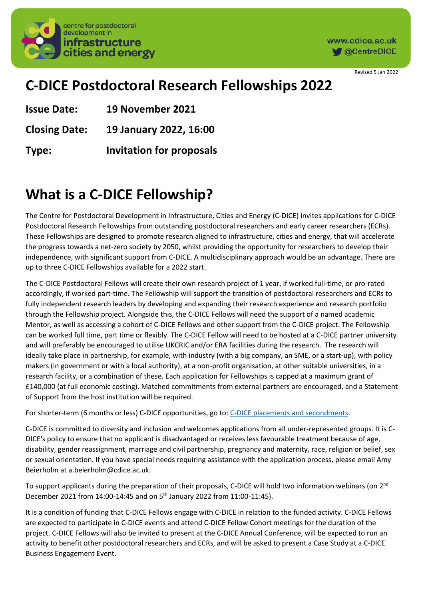

www.cdice.ac.uk **M** @CentreDICE

Revised 5 Jan 2022

### **C-DICE Postdoctoral Research Fellowships 2022**

**Issue Date: 19 November 2021**

**Closing Date: 19 January 2022, 16:00**

**Type: Invitation for proposals**

# **What is a C-DICE Fellowship?**

The Centre for Postdoctoral Development in Infrastructure, Cities and Energy (C-DICE) invites applications for C-DICE Postdoctoral Research Fellowships from outstanding postdoctoral researchers and early career researchers (ECRs). These Fellowships are designed to promote research aligned to infrastructure, cities and energy, that will accelerate the progress towards a net-zero society by 2050, whilst providing the opportunity for researchers to develop their independence, with significant support from C-DICE. A multidisciplinary approach would be an advantage. There are up to three C-DICE Fellowships available for a 2022 start.

The C-DICE Postdoctoral Fellows will create their own research project of 1 year, if worked full-time, or pro-rated accordingly, if worked part-time. The Fellowship will support the transition of postdoctoral researchers and ECRs to fully independent research leaders by developing and expanding their research experience and research portfolio through the Fellowship project. Alongside this, the C-DICE Fellows will need the support of a named academic Mentor, as well as accessing a cohort of C-DICE Fellows and other support from the C-DICE project. The Fellowship can be worked full time, part time or flexibly. The C-DICE Fellow will need to be hosted at a C-DICE partner university and will preferably be encouraged to utilise UKCRIC and/or ERA facilities during the research. The research will ideally take place in partnership, for example, with industry (with a big company, an SME, or a start-up), with policy makers (in government or with a local authority), at a non-profit organisation, at other suitable universities, in a research facility, or a combination of these. Each application for Fellowships is capped at a maximum grant of £140,000 (at full economic costing). Matched commitments from external partners are encouraged, and a Statement of Support from the host institution will be required.

For shorter-term (6 months or less) C-DICE opportunities, go to: [C-DICE placements and secondments.](https://www.cdice.ac.uk/programme/secondments-placements/)

C-DICE is committed to diversity and inclusion and welcomes applications from all under-represented groups. It is C-DICE's policy to ensure that no applicant is disadvantaged or receives less favourable treatment because of age, disability, gender reassignment, marriage and civil partnership, pregnancy and maternity, race, religion or belief, sex or sexual orientation. If you have special needs requiring assistance with the application process, please email Amy Beierholm at a.beierholm@cdice.ac.uk.

To support applicants during the preparation of their proposals, C-DICE will hold two information webinars (on  $2^{nd}$ December 2021 from 14:00-14:45 and on 5<sup>th</sup> January 2022 from 11:00-11:45).

It is a condition of funding that C-DICE Fellows engage with C-DICE in relation to the funded activity. C-DICE Fellows are expected to participate in C-DICE events and attend C-DICE Fellow Cohort meetings for the duration of the project. C-DICE Fellows will also be invited to present at the C-DICE Annual Conference, will be expected to run an activity to benefit other postdoctoral researchers and ECRs, and will be asked to present a Case Study at a C-DICE Business Engagement Event.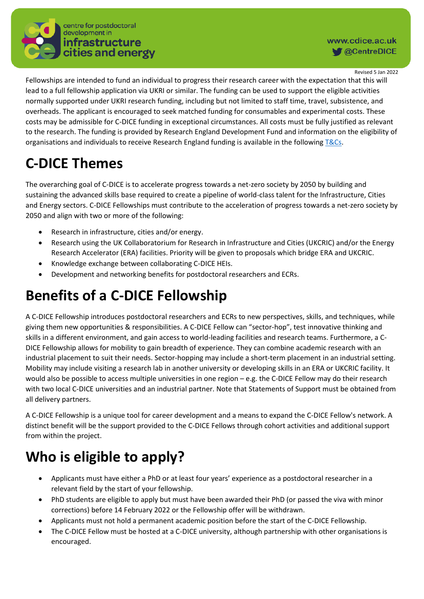

#### www.cdice.ac.uk **M** @CentreDICE

Revised 5 Jan 2022

Fellowships are intended to fund an individual to progress their research career with the expectation that this will lead to a full fellowship application via UKRI or similar. The funding can be used to support the eligible activities normally supported under UKRI research funding, including but not limited to staff time, travel, subsistence, and overheads. The applicant is encouraged to seek matched funding for consumables and experimental costs. These costs may be admissible for C-DICE funding in exceptional circumstances. All costs must be fully justified as relevant to the research. The funding is provided by Research England Development Fund and information on the eligibility of organisations and individuals to receive Research England funding is available in the followin[g T&Cs.](https://www.ukri.org/wp-content/uploads/2021/08/RE-06082021-Terms-and-Conditions-of-Research-England-Grant-2021-22_01.08.21.pdf)

# **C-DICE Themes**

The overarching goal of C-DICE is to accelerate progress towards a net-zero society by 2050 by building and sustaining the advanced skills base required to create a pipeline of world-class talent for the Infrastructure, Cities and Energy sectors. C-DICE Fellowships must contribute to the acceleration of progress towards a net-zero society by 2050 and align with two or more of the following:

- Research in infrastructure, cities and/or energy.
- Research using the UK Collaboratorium for Research in Infrastructure and Cities (UKCRIC) and/or the Energy Research Accelerator (ERA) facilities. Priority will be given to proposals which bridge ERA and UKCRIC.
- Knowledge exchange between collaborating C-DICE HEIs.
- Development and networking benefits for postdoctoral researchers and ECRs.

# **Benefits of a C-DICE Fellowship**

A C-DICE Fellowship introduces postdoctoral researchers and ECRs to new perspectives, skills, and techniques, while giving them new opportunities & responsibilities. A C-DICE Fellow can "sector-hop", test innovative thinking and skills in a different environment, and gain access to world-leading facilities and research teams. Furthermore, a C-DICE Fellowship allows for mobility to gain breadth of experience. They can combine academic research with an industrial placement to suit their needs. Sector-hopping may include a short-term placement in an industrial setting. Mobility may include visiting a research lab in another university or developing skills in an ERA or UKCRIC facility. It would also be possible to access multiple universities in one region – e.g. the C-DICE Fellow may do their research with two local C-DICE universities and an industrial partner. Note that Statements of Support must be obtained from all delivery partners.

A C-DICE Fellowship is a unique tool for career development and a means to expand the C-DICE Fellow's network. A distinct benefit will be the support provided to the C-DICE Fellows through cohort activities and additional support from within the project.

# **Who is eligible to apply?**

- Applicants must have either a PhD or at least four years' experience as a postdoctoral researcher in a relevant field by the start of your fellowship.
- PhD students are eligible to apply but must have been awarded their PhD (or passed the viva with minor corrections) before 14 February 2022 or the Fellowship offer will be withdrawn.
- Applicants must not hold a permanent academic position before the start of the C-DICE Fellowship.
- The C-DICE Fellow must be hosted at a C-DICE university, although partnership with other organisations is encouraged.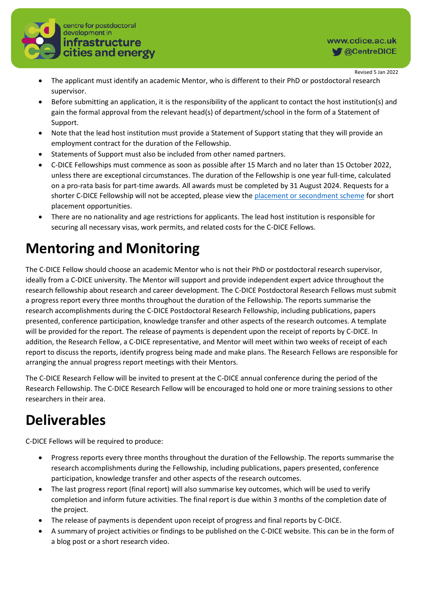

- The applicant must identify an academic Mentor, who is different to their PhD or postdoctoral research supervisor.
- Before submitting an application, it is the responsibility of the applicant to contact the host institution(s) and gain the formal approval from the relevant head(s) of department/school in the form of a Statement of Support.
- Note that the lead host institution must provide a Statement of Support stating that they will provide an employment contract for the duration of the Fellowship.
- Statements of Support must also be included from other named partners.
- C-DICE Fellowships must commence as soon as possible after 15 March and no later than 15 October 2022, unless there are exceptional circumstances. The duration of the Fellowship is one year full-time, calculated on a pro-rata basis for part-time awards. All awards must be completed by 31 August 2024. Requests for a shorter C-DICE Fellowship will not be accepted, please view the [placement or secondment scheme](https://www.cdice.ac.uk/programme/secondments-placements/) for short placement opportunities.
- There are no nationality and age restrictions for applicants. The lead host institution is responsible for securing all necessary visas, work permits, and related costs for the C-DICE Fellows.

# **Mentoring and Monitoring**

The C-DICE Fellow should choose an academic Mentor who is not their PhD or postdoctoral research supervisor, ideally from a C-DICE university. The Mentor will support and provide independent expert advice throughout the research fellowship about research and career development. The C-DICE Postdoctoral Research Fellows must submit a progress report every three months throughout the duration of the Fellowship. The reports summarise the research accomplishments during the C-DICE Postdoctoral Research Fellowship, including publications, papers presented, conference participation, knowledge transfer and other aspects of the research outcomes. A template will be provided for the report. The release of payments is dependent upon the receipt of reports by C-DICE. In addition, the Research Fellow, a C-DICE representative, and Mentor will meet within two weeks of receipt of each report to discuss the reports, identify progress being made and make plans. The Research Fellows are responsible for arranging the annual progress report meetings with their Mentors.

The C-DICE Research Fellow will be invited to present at the C-DICE annual conference during the period of the Research Fellowship. The C-DICE Research Fellow will be encouraged to hold one or more training sessions to other researchers in their area.

# **Deliverables**

C-DICE Fellows will be required to produce:

- Progress reports every three months throughout the duration of the Fellowship. The reports summarise the research accomplishments during the Fellowship, including publications, papers presented, conference participation, knowledge transfer and other aspects of the research outcomes.
- The last progress report (final report) will also summarise key outcomes, which will be used to verify completion and inform future activities. The final report is due within 3 months of the completion date of the project.
- The release of payments is dependent upon receipt of progress and final reports by C-DICE.
- A summary of project activities or findings to be published on the C-DICE website. This can be in the form of a blog post or a short research video.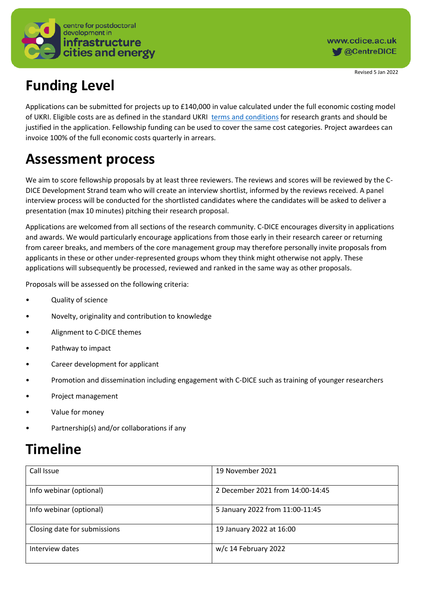

# **Funding Level**

Applications can be submitted for projects up to £140,000 in value calculated under the full economic costing model of UKRI. Eligible costs are as defined in the standard UKRI [terms and conditions](https://www.ukri.org/publications/terms-and-conditions-for-research-grants/) for research grants and should be justified in the application. Fellowship funding can be used to cover the same cost categories. Project awardees can invoice 100% of the full economic costs quarterly in arrears.

### **Assessment process**

We aim to score fellowship proposals by at least three reviewers. The reviews and scores will be reviewed by the C-DICE Development Strand team who will create an interview shortlist, informed by the reviews received. A panel interview process will be conducted for the shortlisted candidates where the candidates will be asked to deliver a presentation (max 10 minutes) pitching their research proposal.

Applications are welcomed from all sections of the research community. C-DICE encourages diversity in applications and awards. We would particularly encourage applications from those early in their research career or returning from career breaks, and members of the core management group may therefore personally invite proposals from applicants in these or other under-represented groups whom they think might otherwise not apply. These applications will subsequently be processed, reviewed and ranked in the same way as other proposals.

Proposals will be assessed on the following criteria:

- Quality of science
- Novelty, originality and contribution to knowledge
- Alignment to C-DICE themes
- Pathway to impact
- Career development for applicant
- Promotion and dissemination including engagement with C-DICE such as training of younger researchers
- Project management
- Value for money
- Partnership(s) and/or collaborations if any

### **Timeline**

| Call Issue                   | 19 November 2021                 |
|------------------------------|----------------------------------|
| Info webinar (optional)      | 2 December 2021 from 14:00-14:45 |
| Info webinar (optional)      | 5 January 2022 from 11:00-11:45  |
| Closing date for submissions | 19 January 2022 at 16:00         |
| Interview dates              | w/c 14 February 2022             |

Revised 5 Jan 2022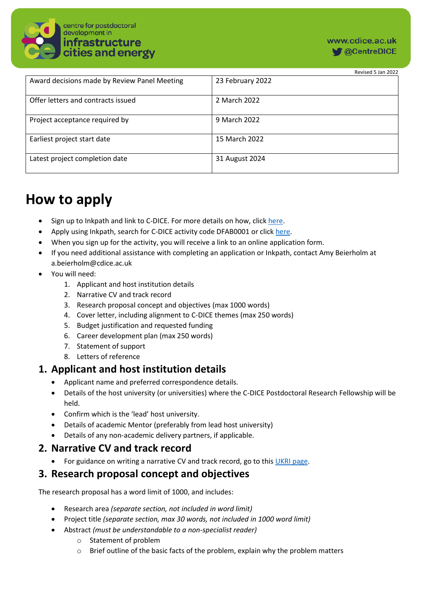

|                                              | Revised 5 Jan 2022 |
|----------------------------------------------|--------------------|
| Award decisions made by Review Panel Meeting | 23 February 2022   |
| Offer letters and contracts issued           | 2 March 2022       |
| Project acceptance required by               | 9 March 2022       |
| Earliest project start date                  | 15 March 2022      |
| Latest project completion date               | 31 August 2024     |

# **How to apply**

- Sign up to Inkpath and link to C-DICE. For more details on how, clic[k here.](https://www.cdice.ac.uk/programme/inkpath/)
- Apply using Inkpath, search for C-DICE activity code DFAB0001 or click [here.](https://webapp.inkpath.co.uk/#/redirect/eyJuYW1lIjoiQWN0aXZpdHlEZXRhaWxQYWdlIiwicGFyYW1zIjp7ImlkIjoyMzkxNX19)
- When you sign up for the activity, you will receive a link to an online application form.
- If you need additional assistance with completing an application or Inkpath, contact Amy Beierholm at a.beierholm@cdice.ac.uk
- You will need:
	- 1. Applicant and host institution details
	- 2. Narrative CV and track record
	- 3. Research proposal concept and objectives (max 1000 words)
	- 4. Cover letter, including alignment to C-DICE themes (max 250 words)
	- 5. Budget justification and requested funding
	- 6. Career development plan (max 250 words)
	- 7. Statement of support
	- 8. Letters of reference

### **1. Applicant and host institution details**

- Applicant name and preferred correspondence details.
- Details of the host university (or universities) where the C-DICE Postdoctoral Research Fellowship will be held.
- Confirm which is the 'lead' host university.
- Details of academic Mentor (preferably from lead host university)
- Details of any non-academic delivery partners, if applicable.

#### **2. Narrative CV and track record**

• For guidance on writing a narrative CV and track record, go to thi[s UKRI page.](https://epsrc.ukri.org/files/funding/calls/2020/open-fellowship-narrative-cv-and-track-record/)

### **3. Research proposal concept and objectives**

The research proposal has a word limit of 1000, and includes:

- Research area *(separate section, not included in word limit)*
- Project title *(separate section, max 30 words, not included in 1000 word limit)*
- Abstract *(must be understandable to a non-specialist reader)*
	- o Statement of problem
	- $\circ$  Brief outline of the basic facts of the problem, explain why the problem matters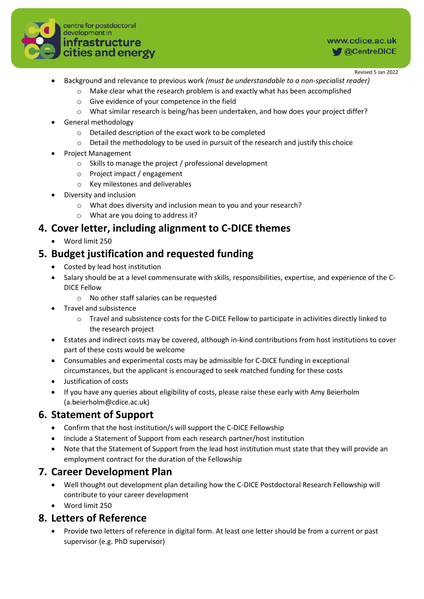

- Background and relevance to previous work *(must be understandable to a non-specialist reader)*
	- $\circ$  Make clear what the research problem is and exactly what has been accomplished
	- o Give evidence of your competence in the field
	- o What similar research is being/has been undertaken, and how does your project differ?
- General methodology
	- o Detailed description of the exact work to be completed
	- $\circ$  Detail the methodology to be used in pursuit of the research and justify this choice
- Project Management
	- o Skills to manage the project / professional development
	- o Project impact / engagement
	- o Key milestones and deliverables
- Diversity and inclusion
	- o What does diversity and inclusion mean to you and your research?
	- o What are you doing to address it?

### **4. Cover letter, including alignment to C-DICE themes**

• Word limit 250

### **5. Budget justification and requested funding**

- Costed by lead host institution
- Salary should be at a level commensurate with skills, responsibilities, expertise, and experience of the C-DICE Fellow
	- o No other staff salaries can be requested
- Travel and subsistence
	- o Travel and subsistence costs for the C-DICE Fellow to participate in activities directly linked to the research project
- Estates and indirect costs may be covered, although in-kind contributions from host institutions to cover part of these costs would be welcome
- Consumables and experimental costs may be admissible for C-DICE funding in exceptional circumstances, but the applicant is encouraged to seek matched funding for these costs
- Justification of costs
- If you have any queries about eligibility of costs, please raise these early with Amy Beierholm (a.beierholm@cdice.ac.uk)

### **6. Statement of Support**

- Confirm that the host institution/s will support the C-DICE Fellowship
- Include a Statement of Support from each research partner/host institution
- Note that the Statement of Support from the lead host institution must state that they will provide an employment contract for the duration of the Fellowship

#### **7. Career Development Plan**

- Well thought out development plan detailing how the C-DICE Postdoctoral Research Fellowship will contribute to your career development
- Word limit 250

#### **8. Letters of Reference**

• Provide two letters of reference in digital form. At least one letter should be from a current or past supervisor (e.g. PhD supervisor)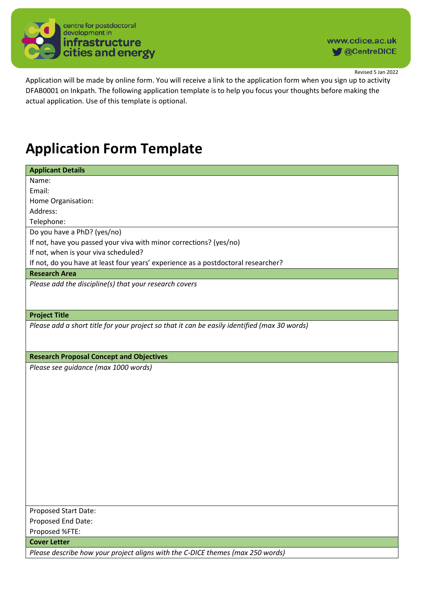

Application will be made by online form. You will receive a link to the application form when you sign up to activity DFAB0001 on Inkpath. The following application template is to help you focus your thoughts before making the actual application. Use of this template is optional.

### **Application Form Template**

| <b>Applicant Details</b>                                                          |
|-----------------------------------------------------------------------------------|
| Name:                                                                             |
| Email:                                                                            |
| Home Organisation:                                                                |
| Address:                                                                          |
| Telephone:                                                                        |
| Do you have a PhD? (yes/no)                                                       |
| If not, have you passed your viva with minor corrections? (yes/no)                |
| If not, when is your viva scheduled?                                              |
| If not, do you have at least four years' experience as a postdoctoral researcher? |
| <b>Research Area</b>                                                              |
| Please add the discipline(s) that your research covers                            |
|                                                                                   |
|                                                                                   |
| <b>Project Title</b>                                                              |

*Please add a short title for your project so that it can be easily identified (max 30 words)*

**Research Proposal Concept and Objectives**

*Please see guidance (max 1000 words)*

Proposed Start Date: Proposed End Date: Proposed %FTE:

**Cover Letter**

*Please describe how your project aligns with the C-DICE themes (max 250 words)*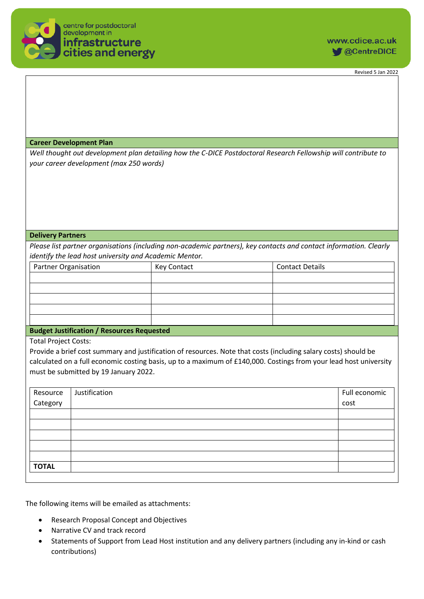

#### **Career Development Plan**

*Well thought out development plan detailing how the C-DICE Postdoctoral Research Fellowship will contribute to your career development (max 250 words)*

#### **Delivery Partners**

*Please list partner organisations (including non-academic partners), key contacts and contact information. Clearly identify the lead host university and Academic Mentor.*

| <b>Partner Organisation</b> | Key Contact | <b>Contact Details</b> |
|-----------------------------|-------------|------------------------|
|                             |             |                        |
|                             |             |                        |
|                             |             |                        |
|                             |             |                        |
|                             |             |                        |

#### **Budget Justification / Resources Requested**

Total Project Costs:

Provide a brief cost summary and justification of resources. Note that costs (including salary costs) should be calculated on a full economic costing basis, up to a maximum of £140,000. Costings from your lead host university must be submitted by 19 January 2022.

| Resource<br>Category | Justification | Full economic |
|----------------------|---------------|---------------|
|                      |               | cost          |
|                      |               |               |
|                      |               |               |
|                      |               |               |
|                      |               |               |
|                      |               |               |
| <b>TOTAL</b>         |               |               |

The following items will be emailed as attachments:

- Research Proposal Concept and Objectives
- Narrative CV and track record
- Statements of Support from Lead Host institution and any delivery partners (including any in-kind or cash contributions)